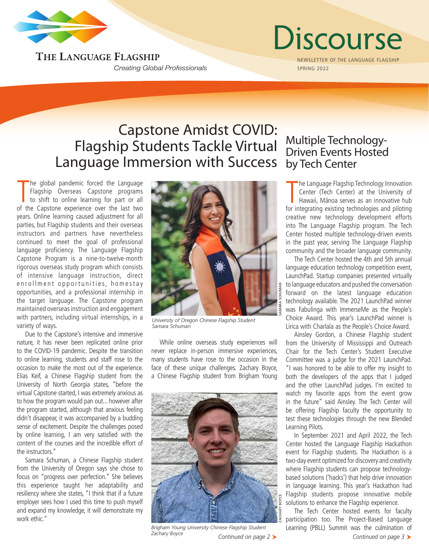

THE LANGUAGE FLAGSHIP **Creating Global Professionals** 

# Discourse

NEWSLETTER OF THE LANGUAGE FLAGSHIP SPRING 2022

## Capstone Amidst COVID: Flagship Students Tackle Virtual Language Immersion with Success

The global pandemic forced the Language<br>Flagship Overseas Capstone programs<br>to shift to online learning for part or all<br>of the Capstone experience over the last two he global pandemic forced the Language Flagship Overseas Capstone programs to shift to online learning for part or all years. Online learning caused adjustment for all parties, but Flagship students and their overseas instructors and partners have nevertheless continued to meet the goal of professional language proficiency. The Language Flagship Capstone Program is a nine-to-twelve-month rigorous overseas study program which consists of intensive language instruction, direct enrollment opportunities, homestay opportunities, and a professional internship in the target language. The Capstone program maintained overseas instruction and engagement with partners, including virtual internships, in a variety of ways.

Due to the Capstone's intensive and immersive nature, it has never been replicated online prior to the COVID-19 pandemic. Despite the transition to online learning, students and staff rose to the occasion to make the most out of the experience. Elias Keif, a Chinese Flagship student from the University of North Georgia states, "before the virtual Capstone started, I was extremely anxious as to how the program would pan out... however after the program started, although that anxious feeling didn't disappear, it was accompanied by a budding sense of excitement. Despite the challenges posed by online learning, I am very satisfied with the content of the courses and the incredible effort of the instructors."

Samara Schuman, a Chinese Flagship student from the University of Oregon says she chose to focus on "progress over perfection." She believes this experience taught her adaptability and resiliency where she states, "I think that if a future employer sees how I used this time to push myself and expand my knowledge, it will demonstrate my work ethic."



*University of Oregon Chinese Flagship Student Samara Schuman*

While online overseas study experiences will never replace in-person immersive experiences, many students have rose to the occasion in the face of these unique challenges. Zachary Boyce, a Chinese Flagship student from Brigham Young



*Continued on page 2 Continued on page 3 Brigham Young University Chinese Flagship Student Zachary Boyce*

### Multiple Technology-Driven Events Hosted by Tech Center

The Language Flagship Technology Innovation<br>Center (Tech Center) at the University of<br>Hawaii, Mānoa serves as an innovative hub<br>for integrating existing technologies and piloting he Language Flagship Technology Innovation Center (Tech Center) at the University of Hawaii, Mānoa serves as an innovative hub creative new technology development efforts into The Language Flagship program. The Tech Center hosted multiple technology-driven events in the past year, serving The Language Flagship community and the broader language community.

The Tech Center hosted the 4th and 5th annual language education technology competition event, LaunchPad. Startup companies presented virtually to language educators and pushed the conversation forward on the latest language education technology available. The 2021 LaunchPad winner was Fabulinga with ImmerseMe as the People's Choice Award. This year's LaunchPad winner is Lirica with Charlala as the People's Choice Award.

Ainsley Gordon, a Chinese Flagship student from the University of Mississippi and Outreach Chair for the Tech Center's Student Executive Committee was a judge for the 2021 LaunchPad. "I was honored to be able to offer my insight to both the developers of the apps that I judged and the other LaunchPad judges. I'm excited to watch my favorite apps from the event grow in the future" said Ainsley. The Tech Center will be offering Flagship faculty the opportunity to test these technologies through the new Blended Learning Pilots.

In September 2021 and April 2022, the Tech Center hosted the Language Flagship Hackathon event for Flagship students. The Hackathon is a two-day event optimized for discovery and creativity where Flagship students can propose technologybased solutions ('hacks') that help drive innovation in language learning. This year's Hackathon had Flagship students propose innovative mobile solutions to enhance the Flagship experience.

The Tech Center hosted events for faculty participation too. The Project-Based Language Learning (PBLL) Summit was the culmination of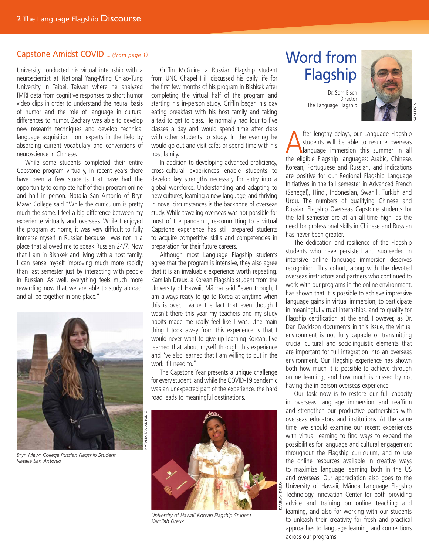## Capstone Amidst COVID ... *(from page 1)* Word from

University conducted his virtual internship with a neuroscientist at National Yang-Ming Chiao-Tung University in Taipei, Taiwan where he analyzed fMRI data from cognitive responses to short humor video clips in order to understand the neural basis of humor and the role of language in cultural differences to humor. Zachary was able to develop new research techniques and develop technical language acquisition from experts in the field by absorbing current vocabulary and conventions of neuroscience in Chinese.

While some students completed their entire Capstone program virtually, in recent years there have been a few students that have had the opportunity to complete half of their program online and half in person. Natalia San Antonio of Bryn Mawr College said "While the curriculum is pretty much the same, I feel a big difference between my experience virtually and overseas. While I enjoyed the program at home, it was very difficult to fully immerse myself in Russian because I was not in a place that allowed me to speak Russian 24/7. Now that I am in Bishkek and living with a host family, I can sense myself improving much more rapidly than last semester just by interacting with people in Russian. As well, everything feels much more rewarding now that we are able to study abroad, and all be together in one place."



*Bryn Mawr College Russian Flagship Student Natalia San Antonio*

Griffin McGuire, a Russian Flagship student from UNC Chapel Hill discussed his daily life for the first few months of his program in Bishkek after completing the virtual half of the program and starting his in-person study. Griffin began his day eating breakfast with his host family and taking a taxi to get to class. He normally had four to five classes a day and would spend time after class with other students to study. In the evening he would go out and visit cafes or spend time with his host family.

In addition to developing advanced proficiency, cross-cultural experiences enable students to develop key strengths necessary for entry into a global workforce. Understanding and adapting to new cultures, learning a new language, and thriving in novel circumstances is the backbone of overseas study. While traveling overseas was not possible for most of the pandemic, re-committing to a virtual Capstone experience has still prepared students to acquire competitive skills and competencies in preparation for their future careers.

Although most Language Flagship students agree that the program is intensive, they also agree that it is an invaluable experience worth repeating. Kamilah Dreux, a Korean Flagship student from the University of Hawaii, Mānoa said "even though, I am always ready to go to Korea at anytime when this is over, I value the fact that even though I wasn't there this year my teachers and my study habits made me really feel like I was...the main thing I took away from this experience is that I would never want to give up learning Korean. I've learned that about myself through this experience and I've also learned that I am willing to put in the work if I need to."

The Capstone Year presents a unique challenge for every student, and while the COVID-19 pandemic was an unexpected part of the experience, the hard road leads to meaningful destinations.



*University of Hawaii Korean Flagship Student Kamilah Dreux*

## Flagship

Dr. Sam Eisen Director The Language Flagship



SAM EISEN

**A** fter lengthy delays, our Language Flagship<br>
students will be able to resume overseas<br>
language immersion this summer in all<br>
the eligible Elagship Janguages: Arabic Chinese students will be able to resume overseas the eligible Flagship languages: Arabic, Chinese, Korean, Portuguese and Russian, and indications are positive for our Regional Flagship Language Initiatives in the fall semester in Advanced French (Senegal), Hindi, Indonesian, Swahili, Turkish and Urdu. The numbers of qualifying Chinese and Russian Flagship Overseas Capstone students for the fall semester are at an all-time high, as the need for professional skills in Chinese and Russian has never been greater.

The dedication and resilience of the Flagship students who have persisted and succeeded in intensive online language immersion deserves recognition. This cohort, along with the devoted overseas instructors and partners who continued to work with our programs in the online environment, has shown that it is possible to achieve impressive language gains in virtual immersion, to participate in meaningful virtual internships, and to qualify for Flagship certification at the end. However, as Dr. Dan Davidson documents in this issue, the virtual environment is not fully capable of transmitting crucial cultural and sociolinguistic elements that are important for full integration into an overseas environment. Our Flagship experience has shown both how much it is possible to achieve through online learning, and how much is missed by not having the in-person overseas experience.

Our task now is to restore our full capacity in overseas language immersion and reaffirm and strengthen our productive partnerships with overseas educators and institutions. At the same time, we should examine our recent experiences with virtual learning to find ways to expand the possibilities for language and cultural engagement throughout the Flagship curriculum, and to use the online resources available in creative ways to maximize language learning both in the US and overseas. Our appreciation also goes to the University of Hawaii, Mānoa Language Flagship Technology Innovation Center for both providing advice and training on online teaching and learning, and also for working with our students to unleash their creativity for fresh and practical approaches to language learning and connections across our programs.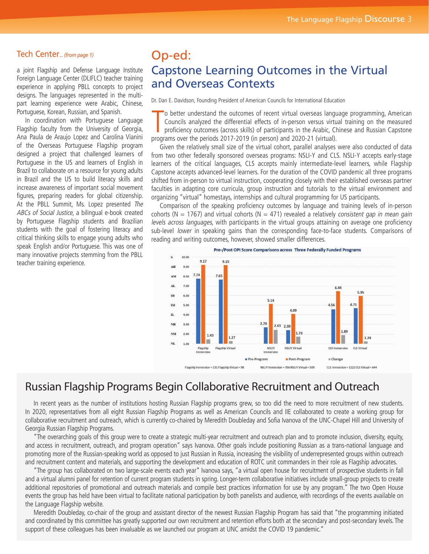#### Tech Center... *(from page 1)*

a joint Flagship and Defense Language Institute Foreign Language Center (DLIFLC) teacher training experience in applying PBLL concepts to project designs. The languages represented in the multipart learning experience were Arabic, Chinese, Portuguese, Korean, Russian, and Spanish.

In coordination with Portuguese Language Flagship faculty from the University of Georgia, Ana Paula de Araujo Lopez and Carolina Vianini of the Overseas Portuguese Flagship program designed a project that challenged learners of Portuguese in the US and learners of English in Brazil to collaborate on a resource for young adults in Brazil and the US to build literacy skills and increase awareness of important social movement figures, preparing readers for global citizenship. At the PBLL Summit, Ms. Lopez presented The ABCs of Social Justice, a bilingual e-book created by Portuguese Flagship students and Brazilian students with the goal of fostering literacy and critical thinking skills to engage young adults who speak English and/or Portuguese. This was one of many innovative projects stemming from the PBLL teacher training experience.

## Op-ed: Capstone Learning Outcomes in the Virtual and Overseas Contexts

Dr. Dan E. Davidson, Founding President of American Councils for International Education

To better understand the outcomes of recent virtual overseas langue Councils analyzed the differential effects of in-person versus virtu proficiency outcomes (across skills) of participants in the Arabic, Chapter programs 'o better understand the outcomes of recent virtual overseas language programming, American Councils analyzed the differential effects of in-person versus virtual training on the measured proficiency outcomes (across skills) of participants in the Arabic, Chinese and Russian Capstone

Given the relatively small size of the virtual cohort, parallel analyses were also conducted of data from two other federally sponsored overseas programs: NSLI-Y and CLS. NSLI-Y accepts early-stage learners of the critical languages, CLS accepts mainly intermediate-level learners, while Flagship Capstone accepts advanced-level learners. For the duration of the COVID pandemic all three programs shifted from in-person to virtual instruction, cooperating closely with their established overseas partner faculties in adapting core curricula, group instruction and tutorials to the virtual environment and organizing "virtual" homestays, internships and cultural programming for US participants.

Comparison of the speaking proficiency outcomes by language and training levels of in-person cohorts (N = 1767) and virtual cohorts (N = 471) revealed a relatively consistent gap in mean gain levels across languages, with participants in the virtual groups attaining on average one proficiency sub-level lower in speaking gains than the corresponding face-to-face students. Comparisons of reading and writing outcomes, however, showed smaller differences.



### Russian Flagship Programs Begin Collaborative Recruitment and Outreach

In recent years as the number of institutions hosting Russian Flagship programs grew, so too did the need to more recruitment of new students. In 2020, representatives from all eight Russian Flagship Programs as well as American Councils and IIE collaborated to create a working group for collaborative recruitment and outreach, which is currently co-chaired by Meredith Doubleday and Sofia Ivanova of the UNC-Chapel Hill and University of Georgia Russian Flagship Programs.

"The overarching goals of this group were to create a strategic multi-year recruitment and outreach plan and to promote inclusion, diversity, equity, and access in recruitment, outreach, and program operation" says Ivanova. Other goals include positioning Russian as a trans-national language and promoting more of the Russian-speaking world as opposed to just Russian in Russia, increasing the visibility of underrepresented groups within outreach and recruitment content and materials, and supporting the development and education of ROTC unit commanders in their role as Flagship advocates.

"The group has collaborated on two large-scale events each year" Ivanova says, "a virtual open house for recruitment of prospective students in fall and a virtual alumni panel for retention of current program students in spring. Longer-term collaborative initiatives include small-group projects to create additional repositories of promotional and outreach materials and compile best practices information for use by any program." The two Open House events the group has held have been virtual to facilitate national participation by both panelists and audience, with recordings of the events available on the Language Flagship website.

Meredith Doubleday, co-chair of the group and assistant director of the newest Russian Flagship Program has said that "the programming initiated and coordinated by this committee has greatly supported our own recruitment and retention efforts both at the secondary and post-secondary levels. The support of these colleagues has been invaluable as we launched our program at UNC amidst the COVID 19 pandemic."